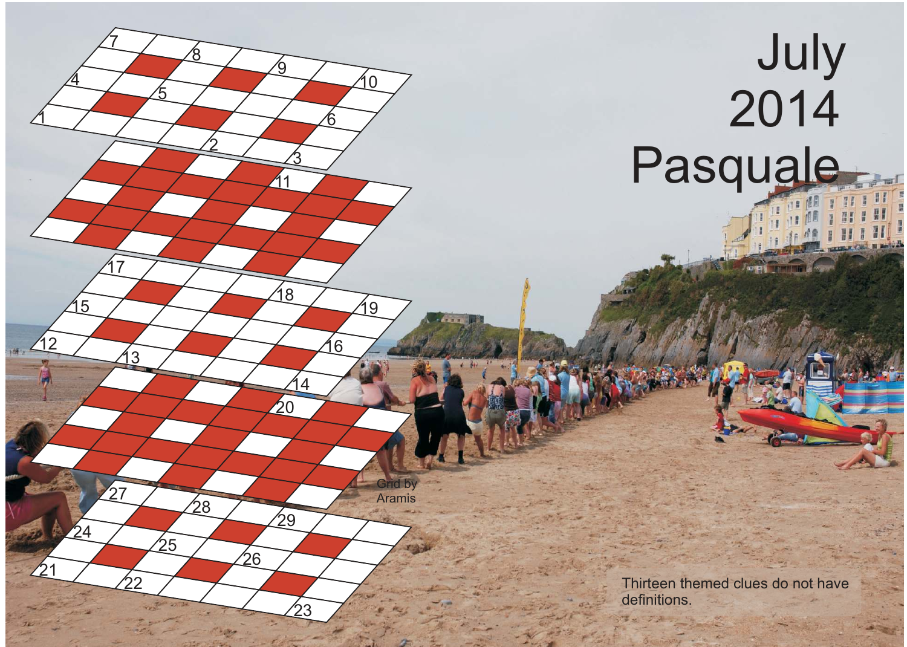## July Pasquale

 $\mathfrak{1}$ 

 $\mathcal{P}$ 

 $\overline{4}$ 

<u>17</u>

<u>3</u>

 $\overline{4}$ 

 $^{'}\!\!29$ 

Grid by Aramis

<u>ପ</u>

Thirteen themed clues do not have definitions.